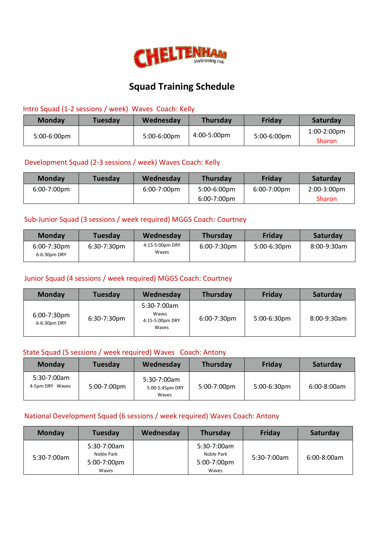

# **Squad Training Schedule**

#### Intro Squad (1-2 sessions / week) Waves Coach: Kelly

| <b>Monday</b> | Tuesdav | Wednesday      | <b>Thursday</b> | Friday         | Saturday                     |
|---------------|---------|----------------|-----------------|----------------|------------------------------|
| 5:00-6:00pm   |         | $5:00-6:00$ pm | 4:00-5:00pm     | $5:00-6:00$ pm | 1:00-2:00pm<br><b>Sharon</b> |

#### Development Squad (2-3 sessions / week) Waves Coach: Kelly

| <b>Monday</b>         | <b>Tuesday</b> | Wednesday             | <b>Thursday</b> | Friday      | Saturday              |
|-----------------------|----------------|-----------------------|-----------------|-------------|-----------------------|
| $6:00-7:00 \text{pm}$ |                | $6:00-7:00 \text{pm}$ | $5:00-6:00$ pm  | 6:00-7:00pm | $2:00-3:00 \text{pm}$ |
|                       |                |                       | $6:00-7:00$ pm  |             | <b>Sharon</b>         |

# Sub-Junior Squad (3 sessions / week required) MGGS Coach: Courtney

| <b>Monday</b>                  | <b>Tuesday</b> | Wednesday                | <b>Thursday</b> | Friday         | Saturday    |
|--------------------------------|----------------|--------------------------|-----------------|----------------|-------------|
| $6:00-7:30$ pm<br>6-6:30pm DRY | $6:30-7:30$ pm | 4:15-5:00pm DRY<br>Waves | $6:00-7:30$ pm  | $5:00-6:30$ pm | 8:00-9:30am |

#### Junior Squad (4 sessions / week required) MGGS Coach: Courtney

| <b>Monday</b>               | <b>Tuesday</b> | Wednesday                                        | <b>Thursday</b> | Friday         | Saturday    |
|-----------------------------|----------------|--------------------------------------------------|-----------------|----------------|-------------|
| 6:00-7:30pm<br>6-6:30pm DRY | 6:30-7:30pm    | 5:30-7:00am<br>Waves<br>4:15-5:00pm DRY<br>Waves | $6:00-7:30$ pm  | $5:00-6:30$ pm | 8:00-9:30am |

#### State Squad (5 sessions / week required) Waves Coach: Antony

| <b>Monday</b>                    | Tuesday     | Wednesday                               | <b>Thursday</b> | Friday         | Saturday      |
|----------------------------------|-------------|-----------------------------------------|-----------------|----------------|---------------|
| $5:30-7:00am$<br>4-5pm DRY Waves | 5:00-7:00pm | 5:30-7:00am<br>5:00-5.45pm DRY<br>Waves | 5:00-7:00pm     | $5:00-6:30$ pm | $6:00-8:00am$ |

#### National Development Squad (6 sessions / week required) Waves Coach: Antony

| <b>Monday</b> | <b>Tuesday</b>                                    | Wednesday | Thursday                                          | Friday        | Saturday      |
|---------------|---------------------------------------------------|-----------|---------------------------------------------------|---------------|---------------|
| 5:30-7:00am   | 5:30-7:00am<br>Noble Park<br>5:00-7:00pm<br>Waves |           | 5:30-7:00am<br>Noble Park<br>5:00-7:00pm<br>Waves | $5:30-7:00am$ | $6:00-8:00am$ |